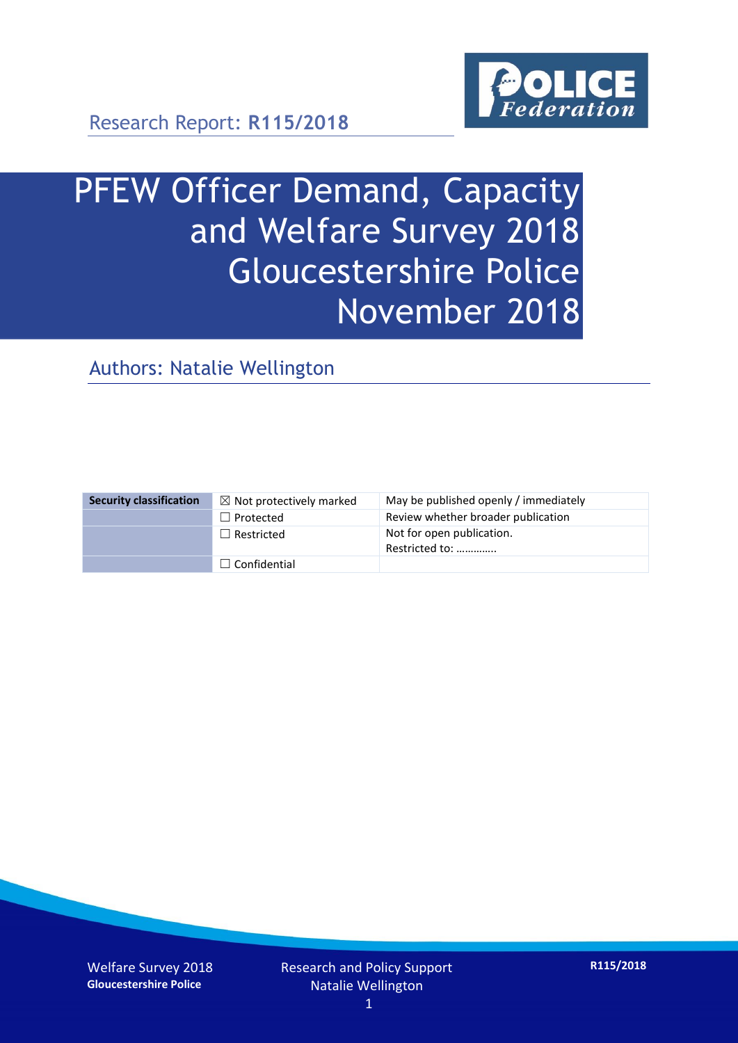

# PFEW Officer Demand, Capacity and Welfare Survey 2018 Gloucestershire Police November 2018

Authors: Natalie Wellington

| <b>Security classification</b> | $\boxtimes$ Not protectively marked | May be published openly / immediately       |
|--------------------------------|-------------------------------------|---------------------------------------------|
|                                | $\Box$ Protected                    | Review whether broader publication          |
|                                | $\Box$ Restricted                   | Not for open publication.<br>Restricted to: |
|                                | $\Box$ Confidential                 |                                             |

Welfare Survey 2018 **Gloucestershire Police**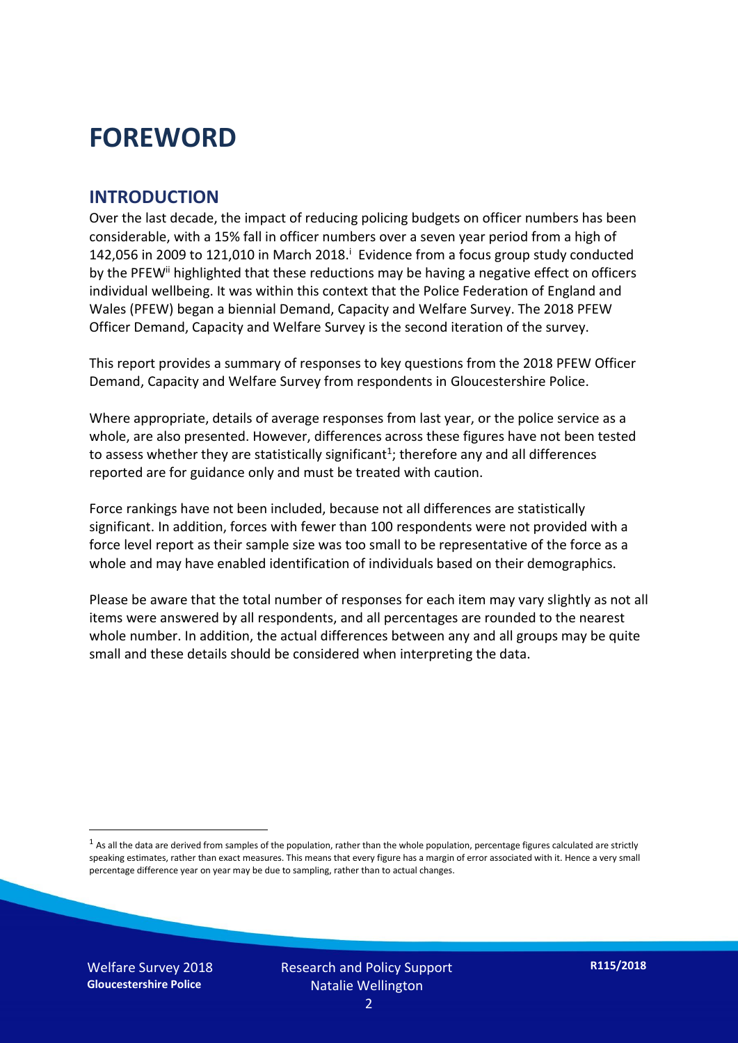## **FOREWORD**

#### **INTRODUCTION**

Over the last decade, the impact of reducing policing budgets on officer numbers has been considerable, with a 15% fall in officer numbers over a seven year period from a high of 142,056 in 2009 to 121,010 in March 2018. $^{\mathrm{i}}$  Evidence from a focus group study conducted by the PFEW<sup>ii</sup> highlighted that these reductions may be having a negative effect on officers individual wellbeing. It was within this context that the Police Federation of England and Wales (PFEW) began a biennial Demand, Capacity and Welfare Survey. The 2018 PFEW Officer Demand, Capacity and Welfare Survey is the second iteration of the survey.

This report provides a summary of responses to key questions from the 2018 PFEW Officer Demand, Capacity and Welfare Survey from respondents in Gloucestershire Police.

Where appropriate, details of average responses from last year, or the police service as a whole, are also presented. However, differences across these figures have not been tested to assess whether they are statistically significant<sup>1</sup>; therefore any and all differences reported are for guidance only and must be treated with caution.

Force rankings have not been included, because not all differences are statistically significant. In addition, forces with fewer than 100 respondents were not provided with a force level report as their sample size was too small to be representative of the force as a whole and may have enabled identification of individuals based on their demographics.

Please be aware that the total number of responses for each item may vary slightly as not all items were answered by all respondents, and all percentages are rounded to the nearest whole number. In addition, the actual differences between any and all groups may be quite small and these details should be considered when interpreting the data.

Welfare Survey 2018 **Gloucestershire Police**

-

 $<sup>1</sup>$  As all the data are derived from samples of the population, rather than the whole population, percentage figures calculated are strictly</sup> speaking estimates, rather than exact measures. This means that every figure has a margin of error associated with it. Hence a very small percentage difference year on year may be due to sampling, rather than to actual changes.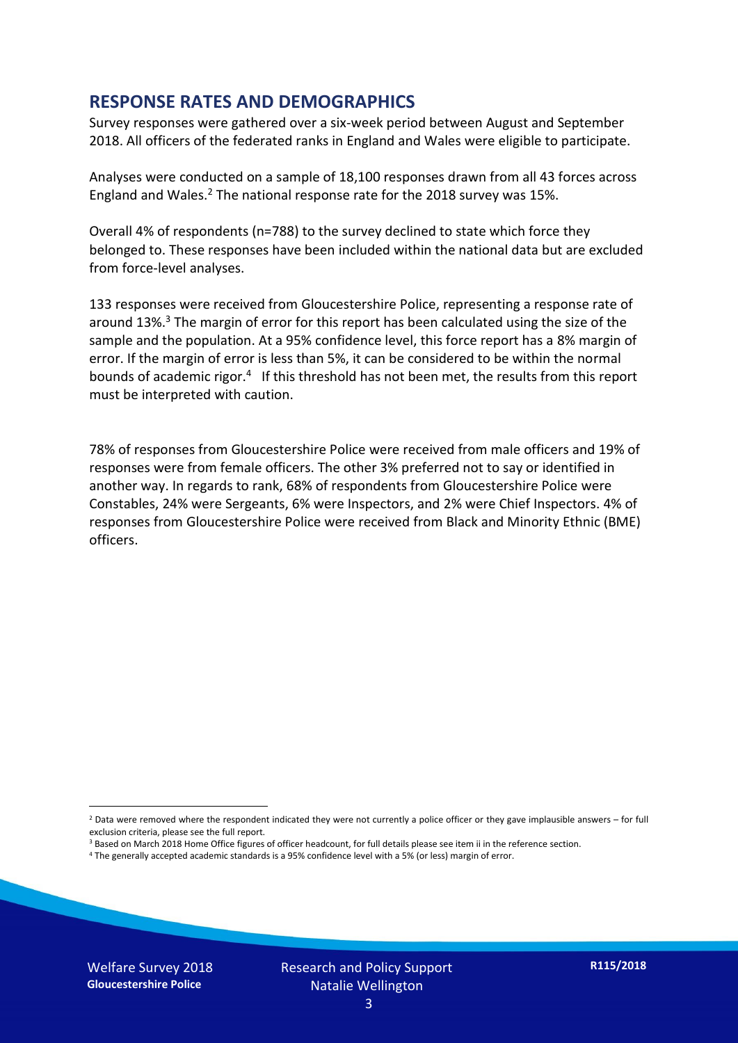#### **RESPONSE RATES AND DEMOGRAPHICS**

Survey responses were gathered over a six-week period between August and September 2018. All officers of the federated ranks in England and Wales were eligible to participate.

Analyses were conducted on a sample of 18,100 responses drawn from all 43 forces across England and Wales.<sup>2</sup> The national response rate for the 2018 survey was 15%.

Overall 4% of respondents (n=788) to the survey declined to state which force they belonged to. These responses have been included within the national data but are excluded from force-level analyses.

133 responses were received from Gloucestershire Police, representing a response rate of around 13%. <sup>3</sup> The margin of error for this report has been calculated using the size of the sample and the population. At a 95% confidence level, this force report has a 8% margin of error. If the margin of error is less than 5%, it can be considered to be within the normal bounds of academic rigor.<sup>4</sup> If this threshold has not been met, the results from this report must be interpreted with caution.

78% of responses from Gloucestershire Police were received from male officers and 19% of responses were from female officers. The other 3% preferred not to say or identified in another way. In regards to rank, 68% of respondents from Gloucestershire Police were Constables, 24% were Sergeants, 6% were Inspectors, and 2% were Chief Inspectors. 4% of responses from Gloucestershire Police were received from Black and Minority Ethnic (BME) officers.

-

 $2$  Data were removed where the respondent indicated they were not currently a police officer or they gave implausible answers – for full exclusion criteria, please see the full report.

<sup>3</sup> Based on March 2018 Home Office figures of officer headcount, for full details please see item ii in the reference section.

<sup>4</sup> The generally accepted academic standards is a 95% confidence level with a 5% (or less) margin of error.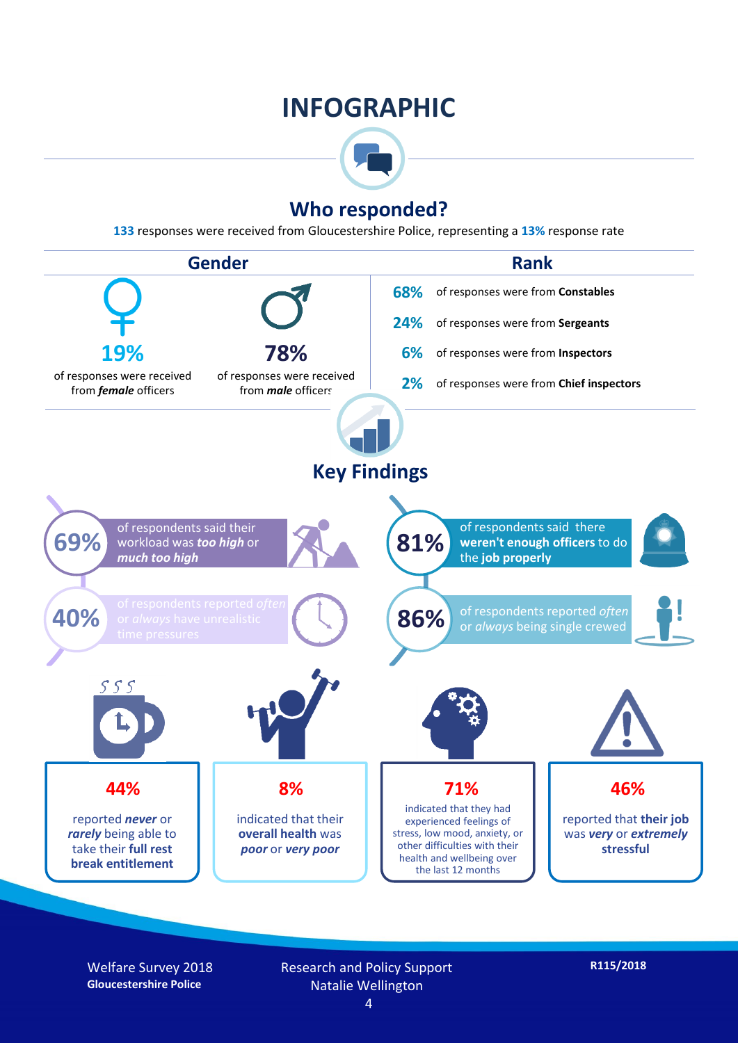## **INFOGRAPHIC**



### **Who responded?**

**133** responses were received from Gloucestershire Police, representing a **13%** response rate



Welfare Survey 2018 **Gloucestershire Police**

Research and Policy Support Natalie Wellington

**R115/2018**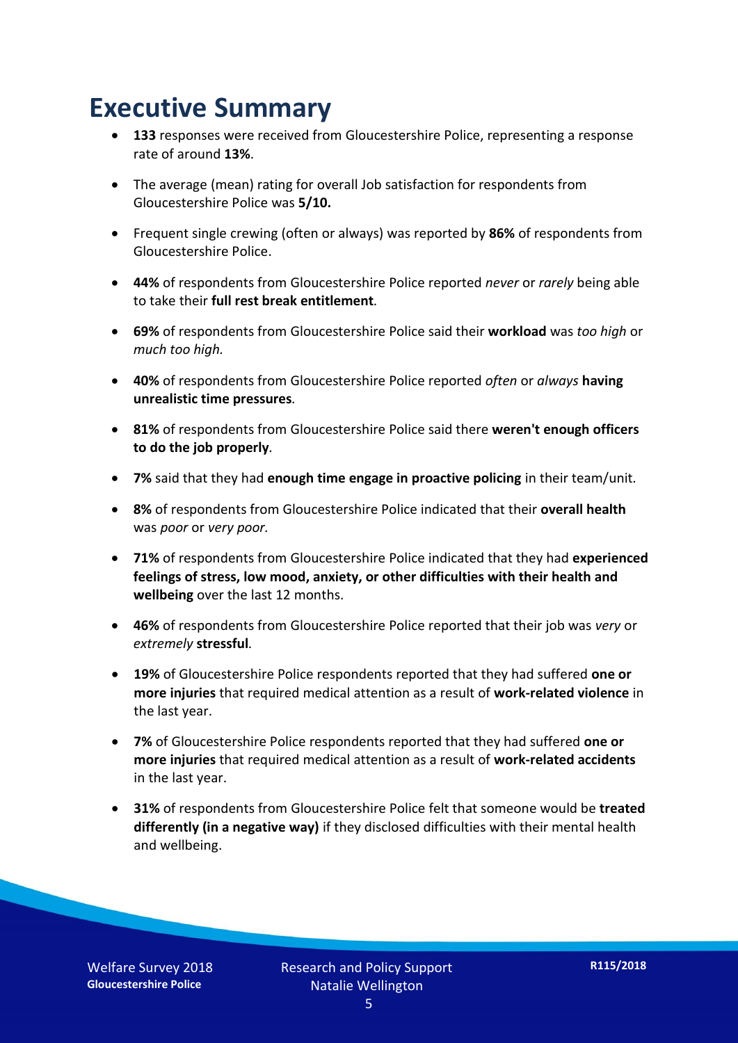## **Executive Summary**

- **133** responses were received from Gloucestershire Police, representing a response rate of around **13%**.
- The average (mean) rating for overall Job satisfaction for respondents from Gloucestershire Police was **5/10.**
- Frequent single crewing (often or always) was reported by **86%** of respondents from Gloucestershire Police.
- **44%** of respondents from Gloucestershire Police reported *never* or *rarely* being able to take their **full rest break entitlement***.*
- **69%** of respondents from Gloucestershire Police said their **workload** was *too high* or *much too high.*
- **40%** of respondents from Gloucestershire Police reported *often* or *always* **having unrealistic time pressures***.*
- **81%** of respondents from Gloucestershire Police said there **weren't enough officers to do the job properly***.*
- **7%** said that they had **enough time engage in proactive policing** in their team/unit*.*
- **8%** of respondents from Gloucestershire Police indicated that their **overall health** was *poor* or *very poor.*
- **71%** of respondents from Gloucestershire Police indicated that they had **experienced feelings of stress, low mood, anxiety, or other difficulties with their health and wellbeing** over the last 12 months.
- **46%** of respondents from Gloucestershire Police reported that their job was *very* or *extremely* **stressful***.*
- **19%** of Gloucestershire Police respondents reported that they had suffered **one or more injuries** that required medical attention as a result of **work-related violence** in the last year.
- **7%** of Gloucestershire Police respondents reported that they had suffered **one or more injuries** that required medical attention as a result of **work-related accidents**  in the last year.
- **31%** of respondents from Gloucestershire Police felt that someone would be **treated differently (in a negative way)** if they disclosed difficulties with their mental health and wellbeing.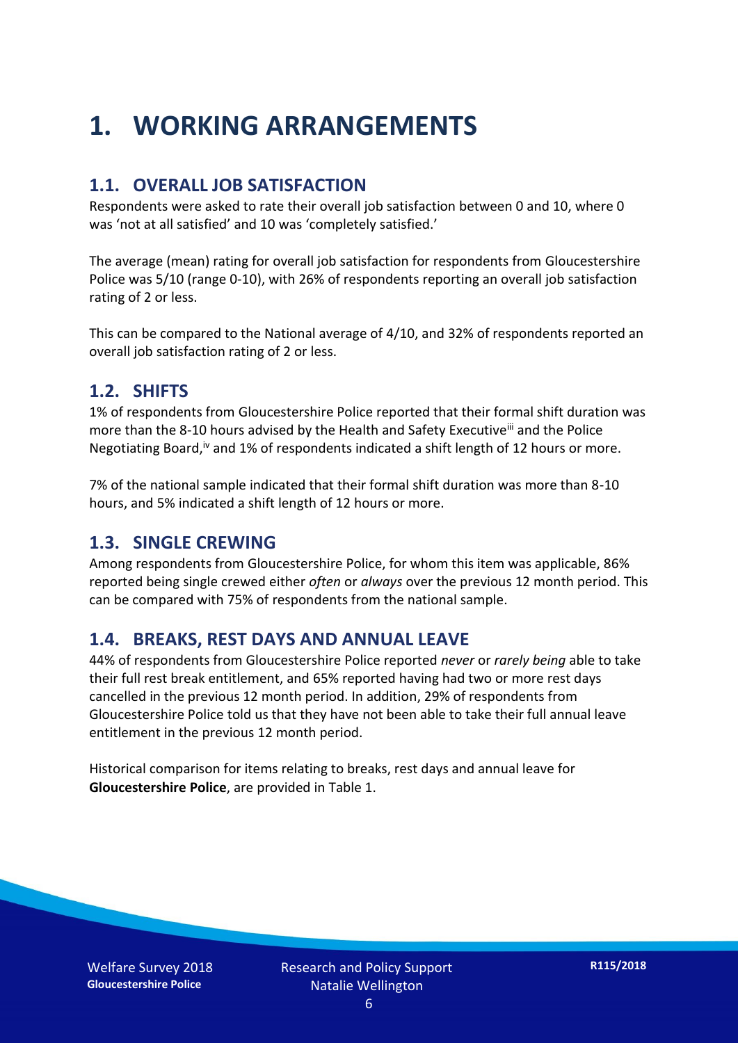## **1. WORKING ARRANGEMENTS**

#### **1.1. OVERALL JOB SATISFACTION**

Respondents were asked to rate their overall job satisfaction between 0 and 10, where 0 was 'not at all satisfied' and 10 was 'completely satisfied.'

The average (mean) rating for overall job satisfaction for respondents from Gloucestershire Police was 5/10 (range 0-10), with 26% of respondents reporting an overall job satisfaction rating of 2 or less.

This can be compared to the National average of 4/10, and 32% of respondents reported an overall job satisfaction rating of 2 or less.

#### **1.2. SHIFTS**

1% of respondents from Gloucestershire Police reported that their formal shift duration was more than the 8-10 hours advised by the Health and Safety Executive<sup>iii</sup> and the Police Negotiating Board,<sup>iv</sup> and 1% of respondents indicated a shift length of 12 hours or more.

7% of the national sample indicated that their formal shift duration was more than 8-10 hours, and 5% indicated a shift length of 12 hours or more.

#### **1.3. SINGLE CREWING**

Among respondents from Gloucestershire Police, for whom this item was applicable, 86% reported being single crewed either *often* or *always* over the previous 12 month period. This can be compared with 75% of respondents from the national sample.

#### **1.4. BREAKS, REST DAYS AND ANNUAL LEAVE**

44% of respondents from Gloucestershire Police reported *never* or *rarely being* able to take their full rest break entitlement, and 65% reported having had two or more rest days cancelled in the previous 12 month period. In addition, 29% of respondents from Gloucestershire Police told us that they have not been able to take their full annual leave entitlement in the previous 12 month period.

Historical comparison for items relating to breaks, rest days and annual leave for **Gloucestershire Police**, are provided in Table 1.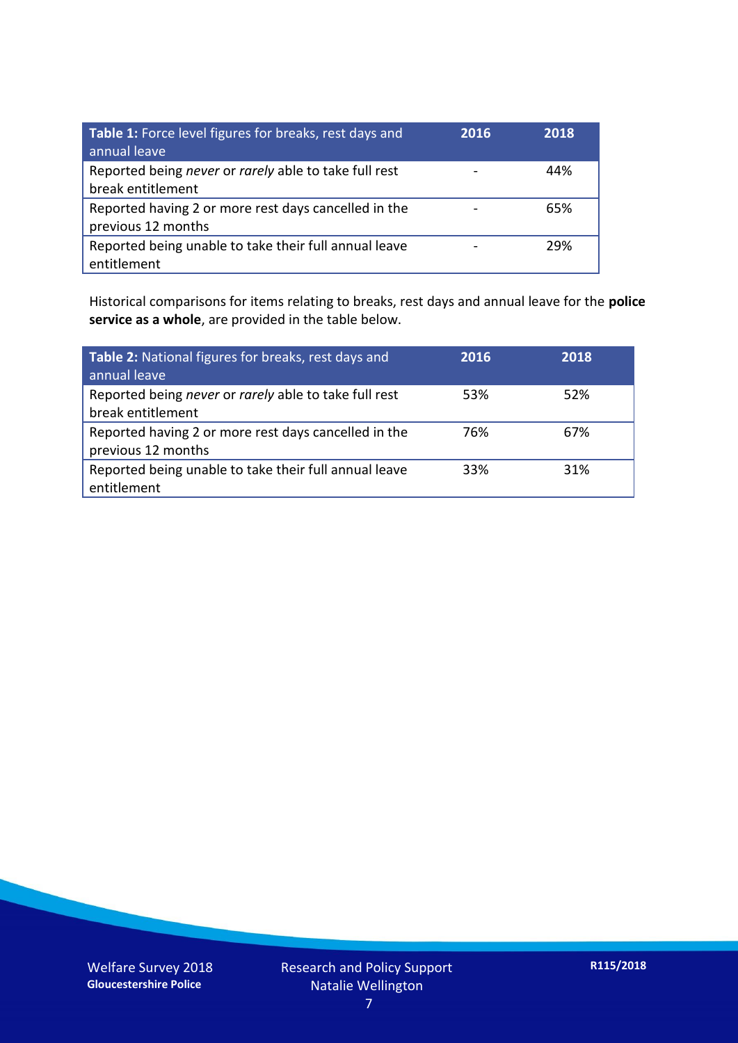| Table 1: Force level figures for breaks, rest days and<br>annual leave     | 2016 | 2018 |
|----------------------------------------------------------------------------|------|------|
| Reported being never or rarely able to take full rest<br>break entitlement |      | 44%  |
| Reported having 2 or more rest days cancelled in the<br>previous 12 months |      | 65%  |
| Reported being unable to take their full annual leave<br>entitlement       |      | 29%  |

Historical comparisons for items relating to breaks, rest days and annual leave for the **police service as a whole**, are provided in the table below.

| Table 2: National figures for breaks, rest days and<br>annual leave        | 2016 | 2018 |
|----------------------------------------------------------------------------|------|------|
| Reported being never or rarely able to take full rest<br>break entitlement | 53%  | 52%  |
| Reported having 2 or more rest days cancelled in the<br>previous 12 months | 76%  | 67%  |
| Reported being unable to take their full annual leave<br>entitlement       | 33%  | 31%  |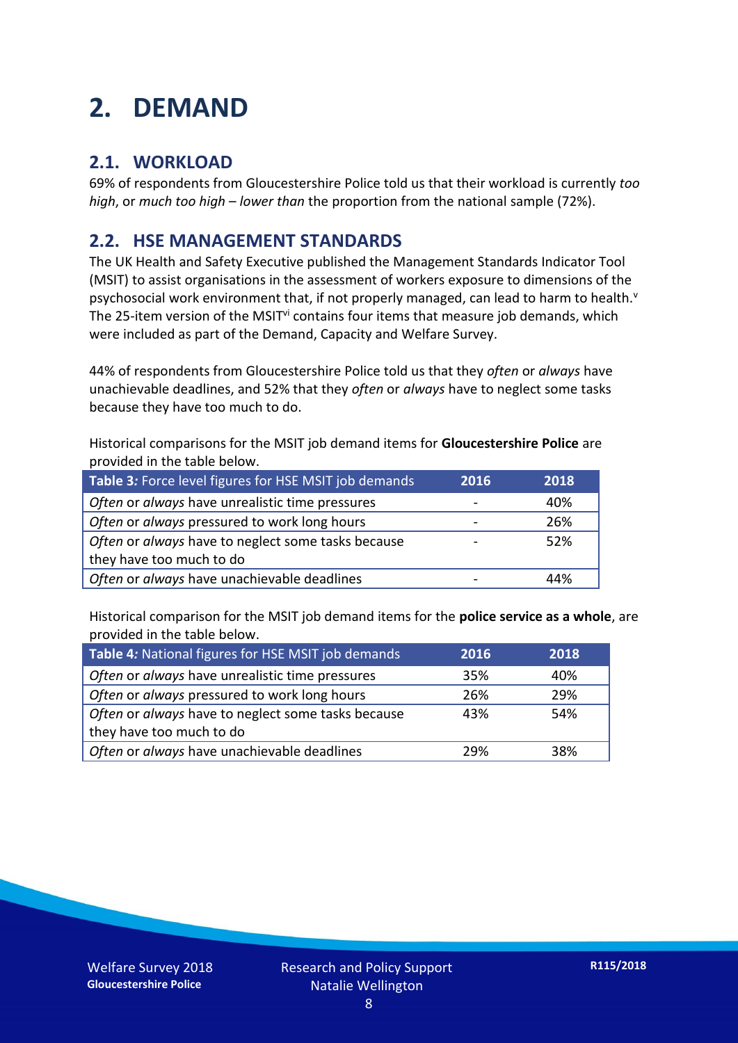## **2. DEMAND**

### **2.1. WORKLOAD**

69% of respondents from Gloucestershire Police told us that their workload is currently *too high*, or *much too high* – *lower than* the proportion from the national sample (72%).

### **2.2. HSE MANAGEMENT STANDARDS**

The UK Health and Safety Executive published the Management Standards Indicator Tool (MSIT) to assist organisations in the assessment of workers exposure to dimensions of the psychosocial work environment that, if not properly managed, can lead to harm to health.<sup>v</sup> The 25-item version of the MSIT<sup>vi</sup> contains four items that measure job demands, which were included as part of the Demand, Capacity and Welfare Survey.

44% of respondents from Gloucestershire Police told us that they *often* or *always* have unachievable deadlines, and 52% that they *often* or *always* have to neglect some tasks because they have too much to do.

Historical comparisons for the MSIT job demand items for **Gloucestershire Police** are provided in the table below.

| Table 3: Force level figures for HSE MSIT job demands | 2016 | 2018 |
|-------------------------------------------------------|------|------|
| Often or always have unrealistic time pressures       |      | 40%  |
| Often or always pressured to work long hours          |      | 26%  |
| Often or always have to neglect some tasks because    |      | 52%  |
| they have too much to do                              |      |      |
| Often or always have unachievable deadlines           |      | 44%  |

Historical comparison for the MSIT job demand items for the **police service as a whole**, are provided in the table below.

| Table 4: National figures for HSE MSIT job demands | 2016 | 2018 |
|----------------------------------------------------|------|------|
| Often or always have unrealistic time pressures    | 35%  | 40%  |
| Often or always pressured to work long hours       | 26%  | 29%  |
| Often or always have to neglect some tasks because | 43%  | 54%  |
| they have too much to do                           |      |      |
| Often or always have unachievable deadlines        | 29%  | 38%  |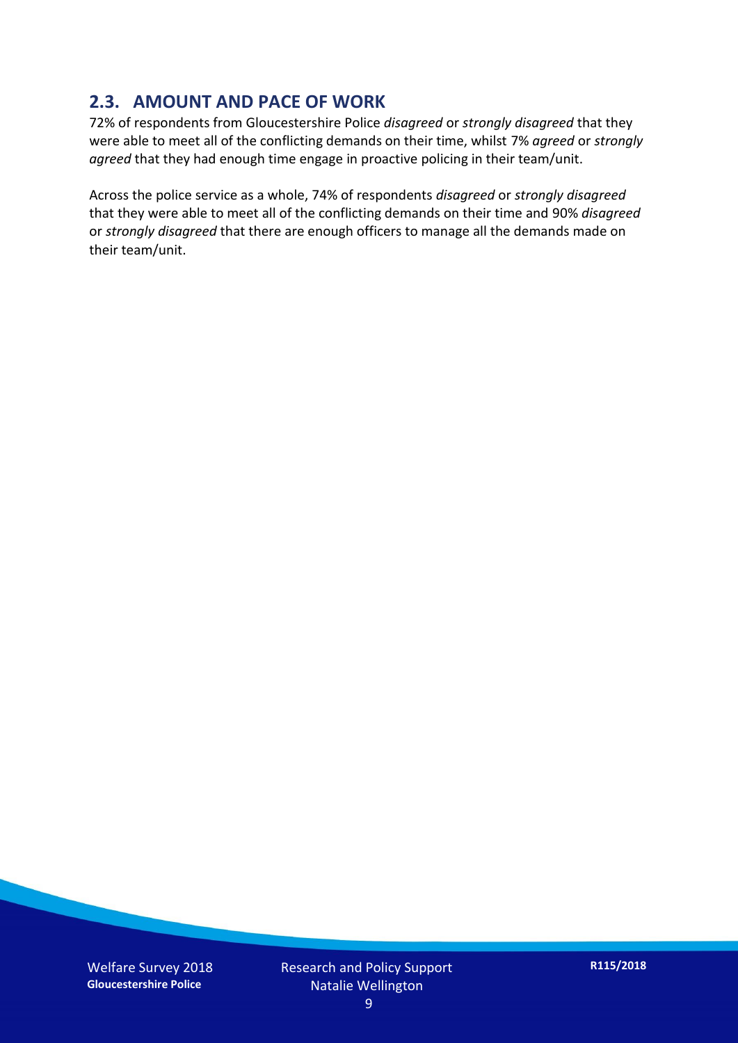### **2.3. AMOUNT AND PACE OF WORK**

72% of respondents from Gloucestershire Police *disagreed* or *strongly disagreed* that they were able to meet all of the conflicting demands on their time, whilst 7% *agreed* or *strongly agreed* that they had enough time engage in proactive policing in their team/unit.

Across the police service as a whole, 74% of respondents *disagreed* or *strongly disagreed* that they were able to meet all of the conflicting demands on their time and 90% *disagreed* or *strongly disagreed* that there are enough officers to manage all the demands made on their team/unit.

Welfare Survey 2018 **Gloucestershire Police**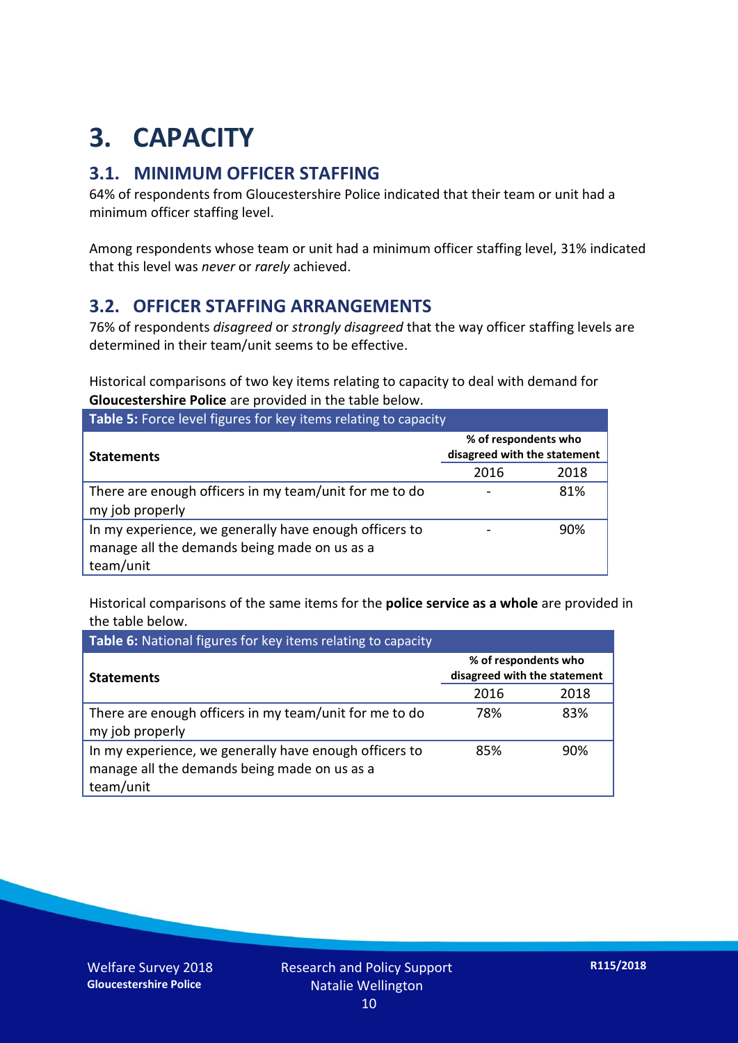## **3. CAPACITY**

### **3.1. MINIMUM OFFICER STAFFING**

64% of respondents from Gloucestershire Police indicated that their team or unit had a minimum officer staffing level.

Among respondents whose team or unit had a minimum officer staffing level, 31% indicated that this level was *never* or *rarely* achieved.

### **3.2. OFFICER STAFFING ARRANGEMENTS**

76% of respondents *disagreed* or *strongly disagreed* that the way officer staffing levels are determined in their team/unit seems to be effective.

Historical comparisons of two key items relating to capacity to deal with demand for **Gloucestershire Police** are provided in the table below.

| Table 5: Force level figures for key items relating to capacity                                                     |                                                      |      |  |
|---------------------------------------------------------------------------------------------------------------------|------------------------------------------------------|------|--|
| <b>Statements</b>                                                                                                   | % of respondents who<br>disagreed with the statement |      |  |
|                                                                                                                     | 2016                                                 | 2018 |  |
| There are enough officers in my team/unit for me to do<br>my job properly                                           |                                                      | 81%  |  |
| In my experience, we generally have enough officers to<br>manage all the demands being made on us as a<br>team/unit |                                                      | 90%  |  |

Historical comparisons of the same items for the **police service as a whole** are provided in the table below.

| Table 6: National figures for key items relating to capacity                                                        |                                                      |      |  |  |
|---------------------------------------------------------------------------------------------------------------------|------------------------------------------------------|------|--|--|
| <b>Statements</b>                                                                                                   | % of respondents who<br>disagreed with the statement |      |  |  |
|                                                                                                                     | 2016                                                 | 2018 |  |  |
| There are enough officers in my team/unit for me to do<br>my job properly                                           | 78%                                                  | 83%  |  |  |
| In my experience, we generally have enough officers to<br>manage all the demands being made on us as a<br>team/unit | 85%                                                  | 90%  |  |  |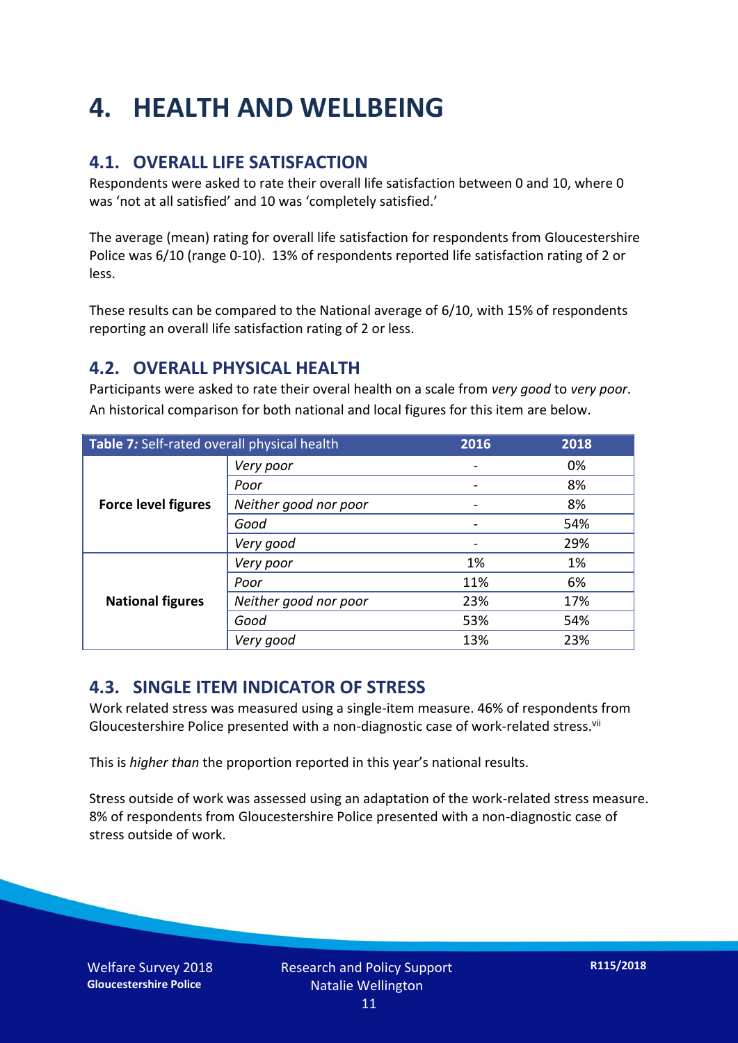## **4. HEALTH AND WELLBEING**

### **4.1. OVERALL LIFE SATISFACTION**

Respondents were asked to rate their overall life satisfaction between 0 and 10, where 0 was 'not at all satisfied' and 10 was 'completely satisfied.'

The average (mean) rating for overall life satisfaction for respondents from Gloucestershire Police was 6/10 (range 0-10). 13% of respondents reported life satisfaction rating of 2 or less.

These results can be compared to the National average of 6/10, with 15% of respondents reporting an overall life satisfaction rating of 2 or less.

### **4.2. OVERALL PHYSICAL HEALTH**

Participants were asked to rate their overal health on a scale from *very good* to *very poor*. An historical comparison for both national and local figures for this item are below.

| Table 7: Self-rated overall physical health |                       | 2016 | 2018 |
|---------------------------------------------|-----------------------|------|------|
| <b>Force level figures</b>                  | Very poor             |      | 0%   |
|                                             | Poor                  |      | 8%   |
|                                             | Neither good nor poor |      | 8%   |
|                                             | Good                  |      | 54%  |
|                                             | Very good             |      | 29%  |
| <b>National figures</b>                     | Very poor             | 1%   | 1%   |
|                                             | Poor                  | 11%  | 6%   |
|                                             | Neither good nor poor | 23%  | 17%  |
|                                             | Good                  | 53%  | 54%  |
|                                             | Very good             | 13%  | 23%  |

#### **4.3. SINGLE ITEM INDICATOR OF STRESS**

Work related stress was measured using a single-item measure. 46% of respondents from Gloucestershire Police presented with a non-diagnostic case of work-related stress.<sup>vii</sup>

This is *higher than* the proportion reported in this year's national results.

Stress outside of work was assessed using an adaptation of the work-related stress measure. 8% of respondents from Gloucestershire Police presented with a non-diagnostic case of stress outside of work.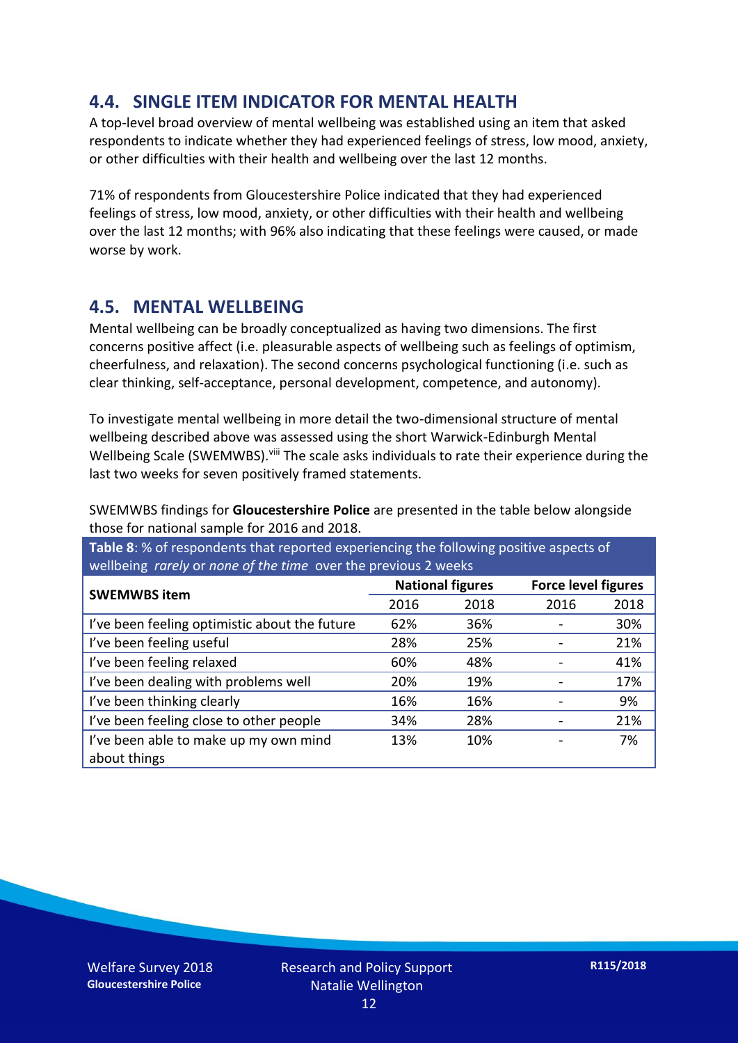### **4.4. SINGLE ITEM INDICATOR FOR MENTAL HEALTH**

A top-level broad overview of mental wellbeing was established using an item that asked respondents to indicate whether they had experienced feelings of stress, low mood, anxiety, or other difficulties with their health and wellbeing over the last 12 months.

71% of respondents from Gloucestershire Police indicated that they had experienced feelings of stress, low mood, anxiety, or other difficulties with their health and wellbeing over the last 12 months; with 96% also indicating that these feelings were caused, or made worse by work.

#### **4.5. MENTAL WELLBEING**

Mental wellbeing can be broadly conceptualized as having two dimensions. The first concerns positive affect (i.e. pleasurable aspects of wellbeing such as feelings of optimism, cheerfulness, and relaxation). The second concerns psychological functioning (i.e. such as clear thinking, self-acceptance, personal development, competence, and autonomy).

To investigate mental wellbeing in more detail the two-dimensional structure of mental wellbeing described above was assessed using the short Warwick-Edinburgh Mental Wellbeing Scale (SWEMWBS). viii The scale asks individuals to rate their experience during the last two weeks for seven positively framed statements.

SWEMWBS findings for **Gloucestershire Police** are presented in the table below alongside those for national sample for 2016 and 2018.

**Table 8**: % of respondents that reported experiencing the following positive aspects of wellbeing *rarely* or *none of the time* over the previous 2 weeks

| <b>SWEMWBS item</b>                           | <b>National figures</b> |      | <b>Force level figures</b> |      |
|-----------------------------------------------|-------------------------|------|----------------------------|------|
|                                               | 2016                    | 2018 | 2016                       | 2018 |
| I've been feeling optimistic about the future | 62%                     | 36%  |                            | 30%  |
| I've been feeling useful                      | 28%                     | 25%  |                            | 21%  |
| I've been feeling relaxed                     | 60%                     | 48%  |                            | 41%  |
| I've been dealing with problems well          | 20%                     | 19%  |                            | 17%  |
| I've been thinking clearly                    | 16%                     | 16%  |                            | 9%   |
| I've been feeling close to other people       | 34%                     | 28%  |                            | 21%  |
| I've been able to make up my own mind         | 13%                     | 10%  |                            | 7%   |
| about things                                  |                         |      |                            |      |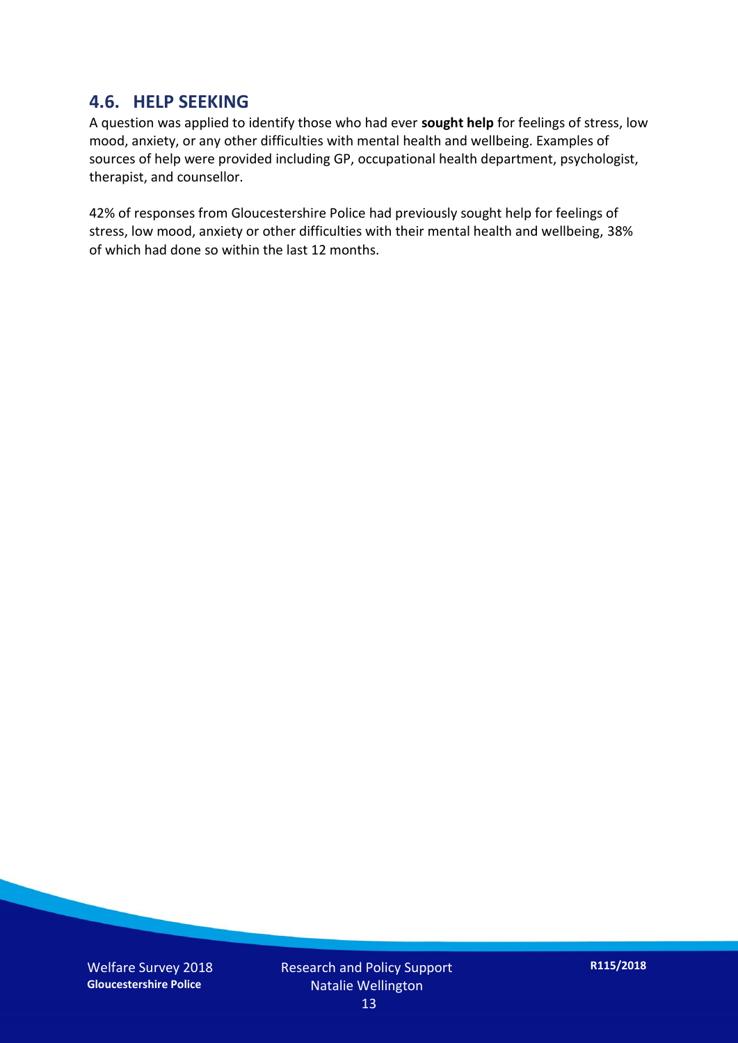#### **4.6. HELP SEEKING**

A question was applied to identify those who had ever **sought help** for feelings of stress, low mood, anxiety, or any other difficulties with mental health and wellbeing. Examples of sources of help were provided including GP, occupational health department, psychologist, therapist, and counsellor.

42% of responses from Gloucestershire Police had previously sought help for feelings of stress, low mood, anxiety or other difficulties with their mental health and wellbeing, 38% of which had done so within the last 12 months.

Welfare Survey 2018 **Gloucestershire Police**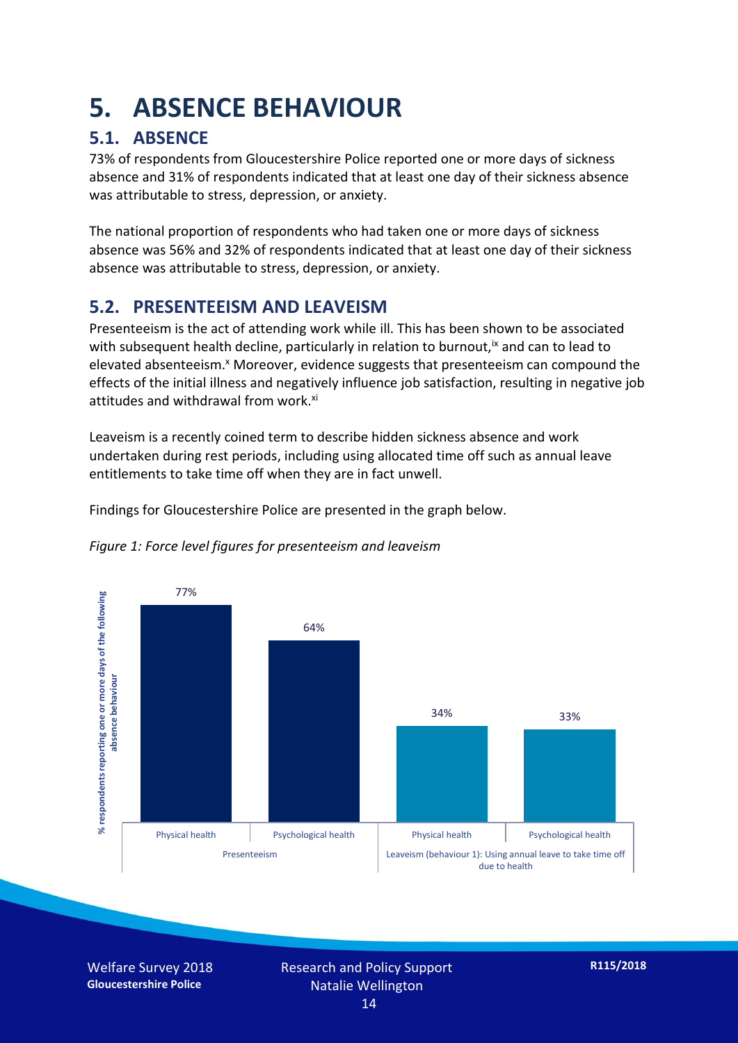## **5. ABSENCE BEHAVIOUR**

## **5.1. ABSENCE**

73% of respondents from Gloucestershire Police reported one or more days of sickness absence and 31% of respondents indicated that at least one day of their sickness absence was attributable to stress, depression, or anxiety.

The national proportion of respondents who had taken one or more days of sickness absence was 56% and 32% of respondents indicated that at least one day of their sickness absence was attributable to stress, depression, or anxiety.

### **5.2. PRESENTEEISM AND LEAVEISM**

Presenteeism is the act of attending work while ill. This has been shown to be associated with subsequent health decline, particularly in relation to burnout,  $\alpha$  and can to lead to elevated absenteeism.<sup>x</sup> Moreover, evidence suggests that presenteeism can compound the effects of the initial illness and negatively influence job satisfaction, resulting in negative job attitudes and withdrawal from work.<sup>xi</sup>

Leaveism is a recently coined term to describe hidden sickness absence and work undertaken during rest periods, including using allocated time off such as annual leave entitlements to take time off when they are in fact unwell.

Findings for Gloucestershire Police are presented in the graph below.





Welfare Survey 2018 **Gloucestershire Police**

Research and Policy Support Natalie Wellington 14

**R115/2018**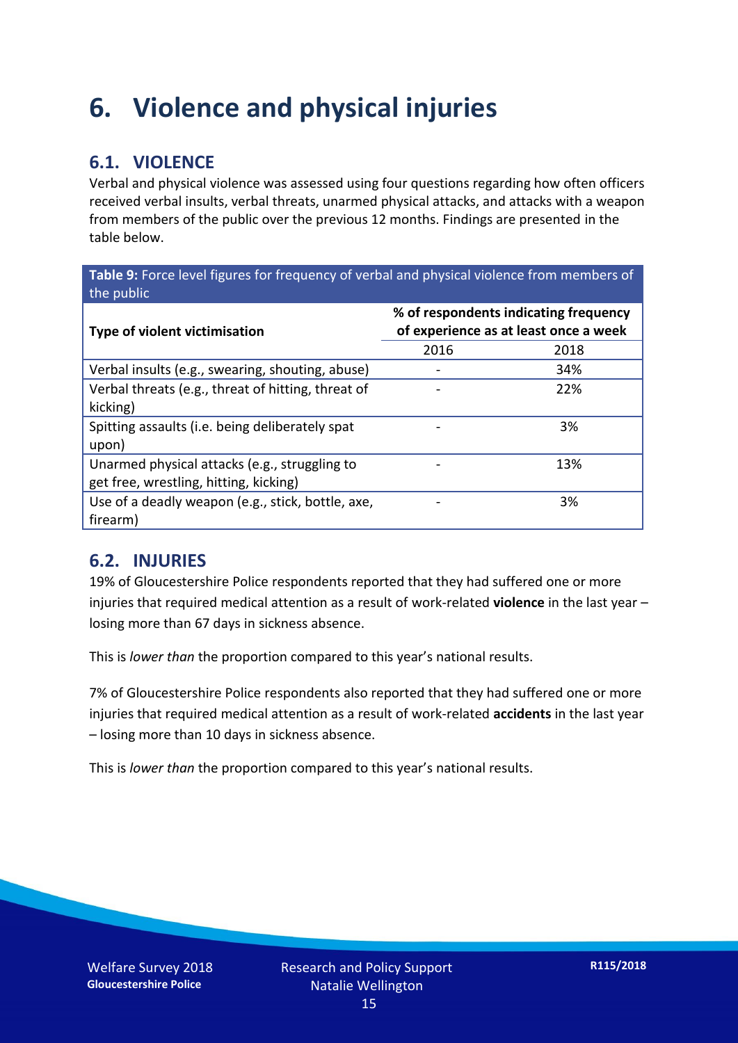## **6. Violence and physical injuries**

### **6.1. VIOLENCE**

Verbal and physical violence was assessed using four questions regarding how often officers received verbal insults, verbal threats, unarmed physical attacks, and attacks with a weapon from members of the public over the previous 12 months. Findings are presented in the table below.

**Table 9:** Force level figures for frequency of verbal and physical violence from members of the public

| Type of violent victimisation                                                           | % of respondents indicating frequency<br>of experience as at least once a week |      |  |
|-----------------------------------------------------------------------------------------|--------------------------------------------------------------------------------|------|--|
|                                                                                         | 2016                                                                           | 2018 |  |
| Verbal insults (e.g., swearing, shouting, abuse)                                        |                                                                                | 34%  |  |
| Verbal threats (e.g., threat of hitting, threat of<br>kicking)                          |                                                                                | 22%  |  |
| Spitting assaults (i.e. being deliberately spat<br>upon)                                |                                                                                | 3%   |  |
| Unarmed physical attacks (e.g., struggling to<br>get free, wrestling, hitting, kicking) |                                                                                | 13%  |  |
| Use of a deadly weapon (e.g., stick, bottle, axe,<br>firearm)                           |                                                                                | 3%   |  |

### **6.2. INJURIES**

19% of Gloucestershire Police respondents reported that they had suffered one or more injuries that required medical attention as a result of work-related **violence** in the last year – losing more than 67 days in sickness absence.

This is *lower than* the proportion compared to this year's national results.

7% of Gloucestershire Police respondents also reported that they had suffered one or more injuries that required medical attention as a result of work-related **accidents** in the last year – losing more than 10 days in sickness absence.

This is *lower than* the proportion compared to this year's national results.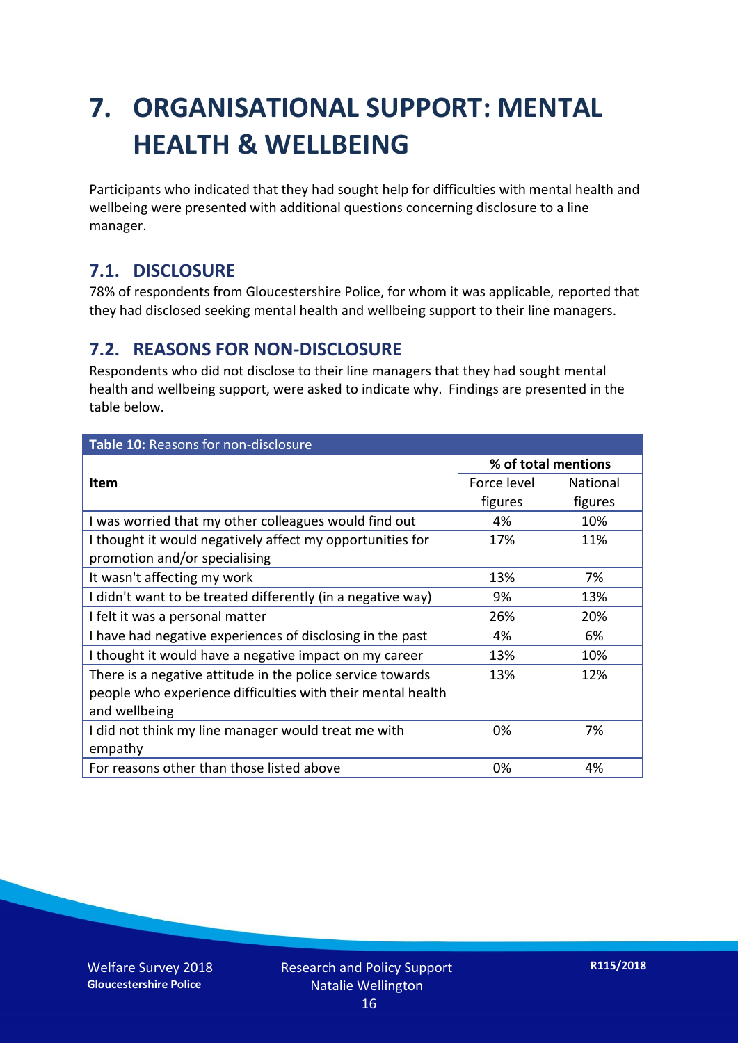## **7. ORGANISATIONAL SUPPORT: MENTAL HEALTH & WELLBEING**

Participants who indicated that they had sought help for difficulties with mental health and wellbeing were presented with additional questions concerning disclosure to a line manager.

### **7.1. DISCLOSURE**

78% of respondents from Gloucestershire Police, for whom it was applicable, reported that they had disclosed seeking mental health and wellbeing support to their line managers.

#### **7.2. REASONS FOR NON-DISCLOSURE**

Respondents who did not disclose to their line managers that they had sought mental health and wellbeing support, were asked to indicate why. Findings are presented in the table below.

| Table 10: Reasons for non-disclosure                        |                     |          |  |
|-------------------------------------------------------------|---------------------|----------|--|
|                                                             | % of total mentions |          |  |
| <b>Item</b>                                                 | Force level         | National |  |
|                                                             | figures             | figures  |  |
| I was worried that my other colleagues would find out       | 4%                  | 10%      |  |
| I thought it would negatively affect my opportunities for   | 17%                 | 11%      |  |
| promotion and/or specialising                               |                     |          |  |
| It wasn't affecting my work                                 | 13%                 | 7%       |  |
| I didn't want to be treated differently (in a negative way) | 9%                  | 13%      |  |
| I felt it was a personal matter                             | 26%                 | 20%      |  |
| I have had negative experiences of disclosing in the past   | 4%                  | 6%       |  |
| I thought it would have a negative impact on my career      | 13%                 | 10%      |  |
| There is a negative attitude in the police service towards  | 13%                 | 12%      |  |
| people who experience difficulties with their mental health |                     |          |  |
| and wellbeing                                               |                     |          |  |
| I did not think my line manager would treat me with         | 0%                  | 7%       |  |
| empathy                                                     |                     |          |  |
| For reasons other than those listed above                   | 0%                  | 4%       |  |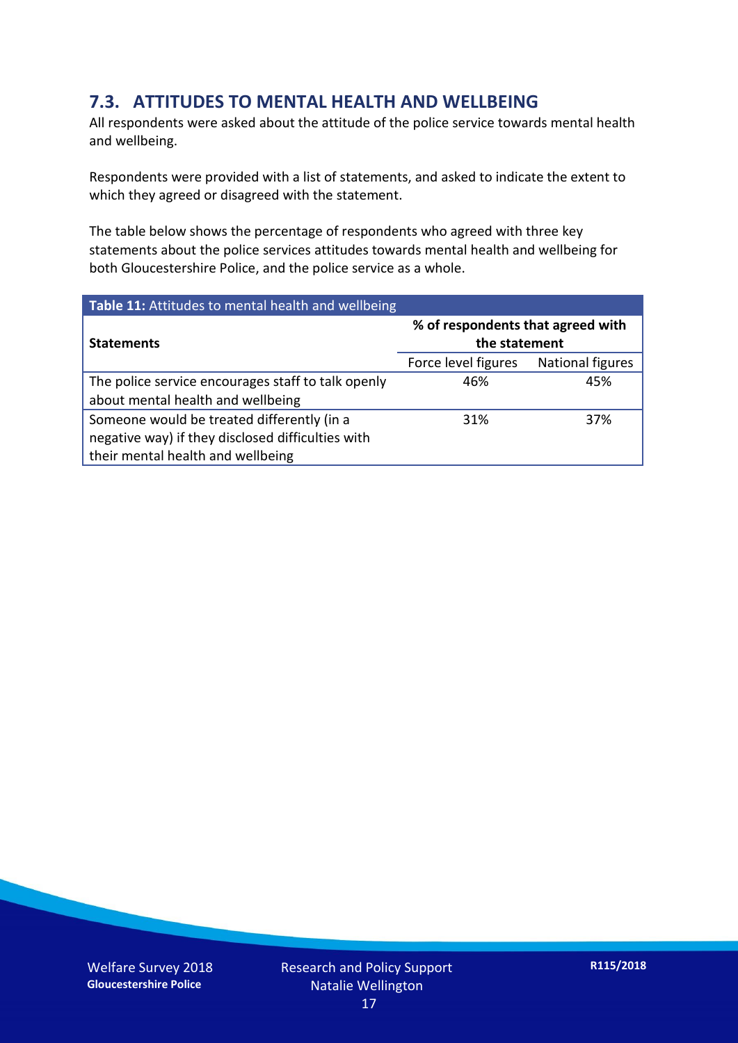### **7.3. ATTITUDES TO MENTAL HEALTH AND WELLBEING**

All respondents were asked about the attitude of the police service towards mental health and wellbeing.

Respondents were provided with a list of statements, and asked to indicate the extent to which they agreed or disagreed with the statement.

The table below shows the percentage of respondents who agreed with three key statements about the police services attitudes towards mental health and wellbeing for both Gloucestershire Police, and the police service as a whole.

| Table 11: Attitudes to mental health and wellbeing |                                                    |                         |
|----------------------------------------------------|----------------------------------------------------|-------------------------|
| <b>Statements</b>                                  | % of respondents that agreed with<br>the statement |                         |
|                                                    | Force level figures                                | <b>National figures</b> |
| The police service encourages staff to talk openly | 46%                                                | 45%                     |
| about mental health and wellbeing                  |                                                    |                         |
| Someone would be treated differently (in a         | 31%                                                | 37%                     |
| negative way) if they disclosed difficulties with  |                                                    |                         |
| their mental health and wellbeing                  |                                                    |                         |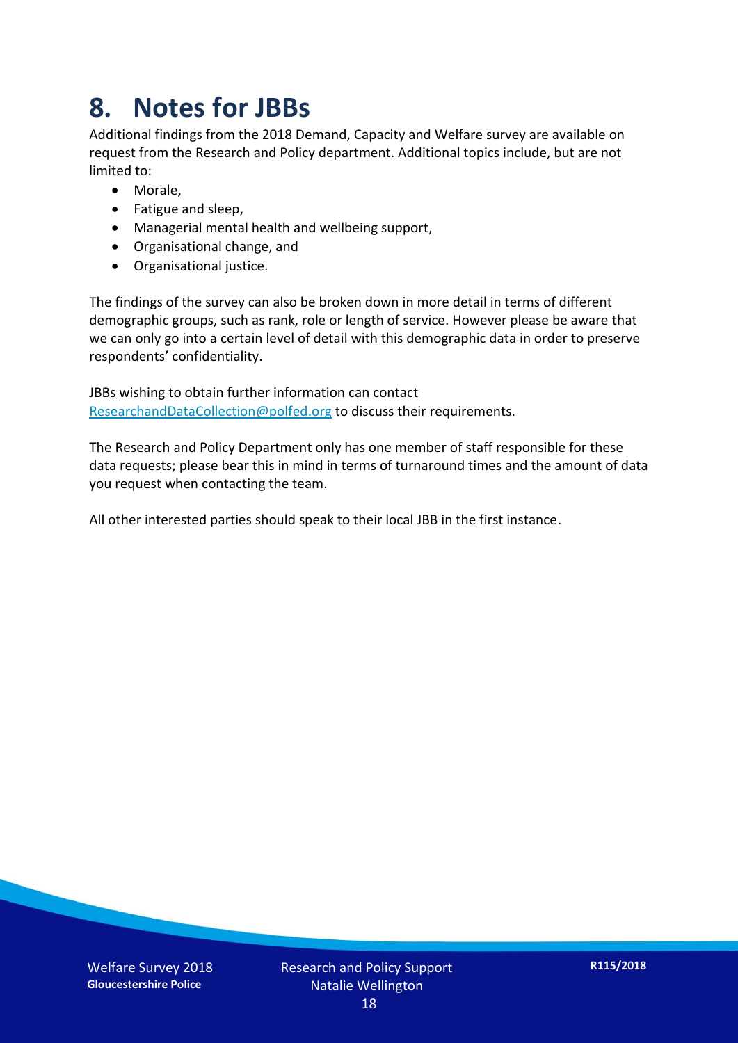## **8. Notes for JBBs**

Additional findings from the 2018 Demand, Capacity and Welfare survey are available on request from the Research and Policy department. Additional topics include, but are not limited to:

- Morale,
- Fatigue and sleep,
- Managerial mental health and wellbeing support,
- Organisational change, and
- Organisational justice.

The findings of the survey can also be broken down in more detail in terms of different demographic groups, such as rank, role or length of service. However please be aware that we can only go into a certain level of detail with this demographic data in order to preserve respondents' confidentiality.

JBBs wishing to obtain further information can contact [ResearchandDataCollection@polfed.org](mailto:ResearchandDataCollection@polfed.org) to discuss their requirements.

The Research and Policy Department only has one member of staff responsible for these data requests; please bear this in mind in terms of turnaround times and the amount of data you request when contacting the team.

All other interested parties should speak to their local JBB in the first instance.